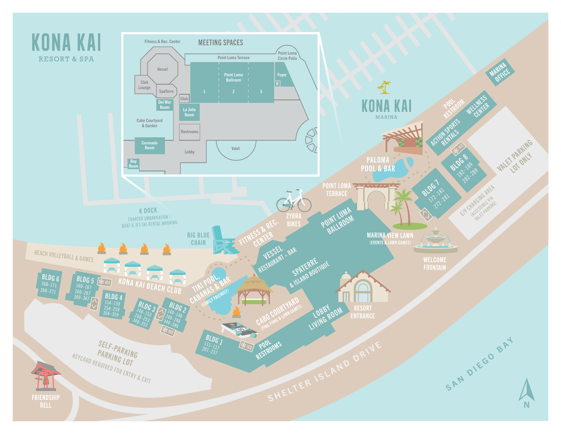